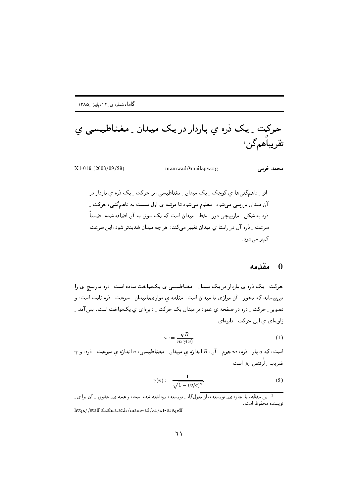حرکت ِ یک ذره ی باردار در یک میدان ِ مغناطیسے ی تقريباهمگنىڭ

 $X1-019$   $(2003/09/29)$ 

mamwad@mailaps.org

محمد خرمی

اثر ِ ناهمگنیها ی کوچک ِ یک میدان ِ مغناطیسی، بر حرکت ِ یک ذره ی باردار در آن میدان بررسی میشود. معلوم میشود تا مرتبه ی اول نسبت به ناهمگنی، حرکت ِ ذره به شکل <sub>-</sub> مارپیچی دور <sub>-</sub> خط <sub>-</sub> میدان است که یک سوق به آن اضافه شده. ضمناً سرعت ِ ذره آن در راستا ی میدان تغییر می کند: هر چه میدان شدیدتر شود، این سرعت کمتر میشود.

## 0 مقدمه

حرکت ِ یک دُره ی باردار در یک میدان ِ مغناطیسی ی یکنواخت ساده است: دُره مارییچ ی را می پیماید که محور ِ آن موازی با میدان است. مئلفه ی موازیبامیدان ِ سرعت ِ دْرَه ثابت است، و تصویر \_ حرکت \_ ذره در صفحه ی عمود بر میدان یک حرکت \_ دایرهای ی یک نواخت است. پس آمد \_ زاویهای ی این حرکت دایرهای

$$
\omega := \frac{qB}{m\,\gamma(v)}\tag{1}
$$

 $\gamma$  است، که  $q$  بار ِ ذره،  $m$  جرم ِ آن،  $B$  اندازه ی میدان ِ مغناطیسی،  $v$  اندازه ی سرعت ِ ذره، و ضريب ِ لُرنتس [a] است:

$$
\gamma(v) := \frac{1}{\sqrt{1 - (v/c)^2}}.\tag{2}
$$

<sup>۔&</sup>lt;br><sup>1</sup> این مقاله، با اجازہ ی نویسندہ، از منزل گاہ ِ نویسندہ برداشته شدہ است، و همه ی ِ حقوق ِ ِ آن برا ی ِ نويسنده محفوظ است. http://staff.alzahra.ac.ir/mamwad/x1/x1-019.pdf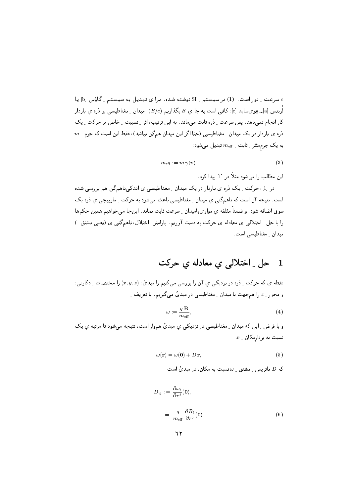0 سرعت \_ نور است. (1) در سیستم \_ SI نوشته شده. برا ی تبدیل به سیستم \_ گاؤس [b] یا  $c$ لُرِنتس [a]ــ هِويسايد [c]، کافي است به جا ي B بگذاريم  $(B/c)$ ). ميدان ِ مغناطيسي بر ذره ي باردار کار انجام نمی دهد . پس سرعت <sub>به</sub> ذره ثابت می ماند. به این ترتیب، اثر اِنسبیت اِ خاص بر حرکت اِ یک  $m$  ذره ی باردار در یک میدان <sub>-</sub> مغناطیسی (حتا اگر این میدان همگن نباشد)، فقط این است که جرم به یک جرممئثر ِ ثابت ِ  $m_{\rm eff}$  تبدیل میشود:

$$
m_{\text{eff}} := m \,\gamma(v). \tag{3}
$$

این مطالب را می شود مثلاً در [1] بیدا کرد.

در [1]، حرکت ِ یک دره ی باردار در یک میدان ِ مغناطیسی ی اندکی ناهمگن هم بررسی شده است. نتیجه آن است که ناهمگنی ی میدان ِ مغناطیسی باعث میشود به حرکت ِ مارییچی ی ذره یک سوق اضافه شود، و ضمناً مئلفه ي موازيباميدان \_ سرعت ثابت نماند. اينجا مي خواهيم همين حكمها را با حل ِ اختلالبی ی معادله ی حرکت به دست آوریم. پارامتر ِ اختلال، ناهمگنبی ی (یعنبی مشتق ِ) میدان ِ مغناطیسی است.

## حل ِ اختلالی ی معادله ی حرکت  $\mathbf 1$

نقطه ي كه حركت ِ ذره در نزديكي ي آن را بررسي ميكنيم را مبديٌّ،  $(x,y,z)$  را مختصات ِ دكارتي، و محور \_ z را همجهت با ميدان \_ مغناطيسي در مبديً ميگيريم. با تعريف \_

$$
\omega := \frac{q \mathbf{B}}{m_{\text{eff}}},\tag{4}
$$

و با فرض ِ این که میدان ِ مغناطیسی در نزدیکی ی مبدیٔ هموار است، نتیجه می شود تا مرتبه ی یک نسبت به بردارمکان \_ r،

$$
\omega(\mathbf{r}) = \omega(\mathbf{0}) + D \mathbf{r},\tag{5}
$$

که  $D$  ماتریس ِ مشتق ِ  $\omega$ نسبت به مکان، در میدیٔ است:

$$
D_{ij} := \frac{\partial \omega_i}{\partial r^j}(\mathbf{0}),
$$
  
= 
$$
\frac{q}{m_{\text{eff}}} \frac{\partial B_i}{\partial r^j}(\mathbf{0}).
$$
 (6)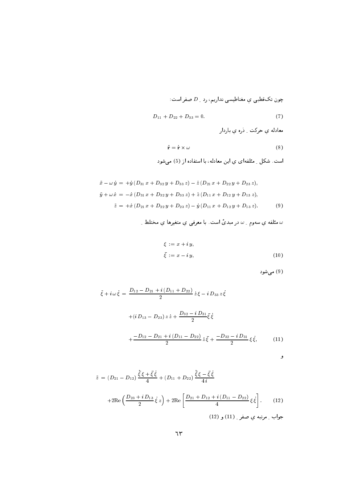j0 P 5 - ,+ ;h
 - GE]) 9

$$
D_{11} + D_{22} + D_{33} = 0. \t\t(7)
$$

ل المستخدم المستخدم المستخدم المستخدم المستخدم المستخدم المستخدم المستخدم المستخدم المستخدم المستخدم المستخدم

$$
\ddot{\mathbf{r}} = \dot{\mathbf{r}} \times \omega \tag{8}
$$

ں <sub>۔</sub> نے ین میں اس اللہ اور اس اللہ کی ر

$$
\ddot{x} - \omega \dot{y} = +\dot{y} \left( D_{31} x + D_{32} y + D_{33} z \right) - \dot{z} \left( D_{21} x + D_{22} y + D_{23} z \right),
$$
  
\n
$$
\ddot{y} + \omega \dot{x} = -\dot{x} \left( D_{31} x + D_{32} y + D_{33} z \right) + \dot{z} \left( D_{11} x + D_{12} y + D_{13} z \right),
$$
  
\n
$$
\ddot{z} = +\dot{x} \left( D_{21} x + D_{22} y + D_{23} z \right) - \dot{y} \left( D_{11} x + D_{12} y + D_{13} z \right).
$$
 (9)

$$
\Box
$$
مئلفه ي سهوم  $\Box$  در مبدي است. با معرفی ي متفيرها ي مختلط $\Box$ 

$$
\xi := x + i y,
$$
  
\n
$$
\bar{\xi} := x - i y,
$$
\n(10)

(9) میشود

$$
\ddot{\xi} + i\omega \dot{\xi} = \frac{D_{12} - D_{21} + i(D_{11} + D_{22})}{2} \dot{z} \xi - i D_{33} z \dot{\xi}
$$

$$
+ (i D_{13} - D_{23}) z \dot{z} + \frac{D_{32} - i D_{31}}{2} \bar{\xi} \dot{\xi}
$$

$$
+ \frac{-D_{12} - D_{21} + i(D_{11} - D_{22})}{2} \dot{z} \bar{\xi} + \frac{-D_{32} - i D_{31}}{2} \xi \dot{\xi}, \qquad (11)
$$

$$
\bullet
$$

$$
\ddot{z} = (D_{21} - D_{12}) \frac{\dot{\xi}\xi + \bar{\xi}\dot{\xi}}{4} + (D_{11} + D_{22}) \frac{\dot{\xi}\xi - \bar{\xi}\dot{\xi}}{4i}
$$

$$
+ 2\text{Re}\left(\frac{D_{23} + i D_{13}}{2}\dot{\xi}z\right) + 2\text{Re}\left[\frac{D_{21} + D_{12} + i(D_{11} - D_{22})}{4}\xi\dot{\xi}\right]. \tag{12}
$$

$$
(12) \text{ g (11)} \text{ and } \ddot{\xi}z = 0
$$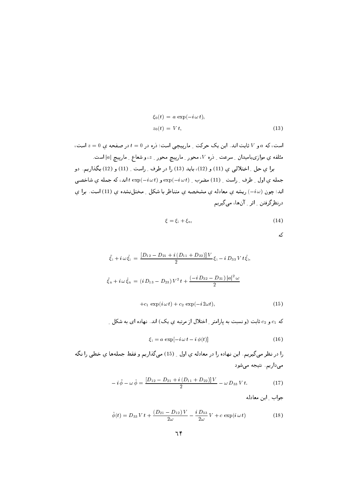$$
\xi_0(t) = a \exp(-i\omega t),
$$
  
\n
$$
z_0(t) = Vt,
$$
\n(13)

است، که a و V ثابت اند. این یک حرکت ِ مارپیچی است؛ ذره در d = 0 در صفحه ی a = 0 است، مثلفه ي موازىباميدان ِ سرعت ِ ذره V، محور ِ مارپيچ محور ِ z، و شعاع ِ مارپيچ  $|a|$  است.

برا ي حل ِ اختلالي ي (11) و (12)، بايد (13) را در طرف ِ راست ِ (11) و (12) بگذاريم. دو جمله ي اول \_ طرف \_ راست \_ (11) مضرب \_ exp(-iwt) و exp(-iwt) اند، كه جمله ي شاخصي اند؛ چون (-i w) ریشه ی معادله ی مشخصه ی متناظر با شکل ِ مختلنشده ی (11) است. برا ی درنظرگرفتن ِ اثر ِ آنِها، میںگیریم

$$
\xi = \xi_i + \xi_n,\tag{14}
$$

|        | ۰. |
|--------|----|
| $\sim$ | ۰. |
|        |    |

$$
\ddot{\xi}_{i} + i \omega \dot{\xi}_{i} = \frac{[D_{12} - D_{21} + i (D_{11} + D_{22})]V}{2} \xi_{i} - i D_{33} V t \dot{\xi}_{i},
$$
  

$$
\ddot{\xi}_{n} + i \omega \dot{\xi}_{n} = (i D_{13} - D_{23}) V^{2} t + \frac{(-i D_{32} - D_{31}) |a|^{2} \omega}{2}
$$
  

$$
+ c_{1} \exp(i \omega t) + c_{2} \exp(-i 2 \omega t),
$$
 (15)

که  
$$
c_2
$$
 و   $c_2$  و نسبت به پارمتر  <sub>د</sub> اختلال از مرتبه ي يک) اند. نهاده ای به شکل  <sub>د</sub>

$$
\xi_{i} = a \, \exp[-i \, \omega \, t - i \, \phi(t)] \tag{16}
$$

را در نظر میگیریم. این نهاده را در معادله ی اول ِ ِ (15) میگذاریم و فقط جملهها ی خطی را نگه میداریم. نتیجه میشود

$$
-i\ddot{\phi}-\omega\dot{\phi}=\frac{[D_{12}-D_{21}+i(D_{11}+D_{22})]V}{2}-\omega D_{33}Vt.
$$
 (17)

جواب \_ اين معادله

$$
\dot{\phi}(t) = D_{33} V t + \frac{(D_{21} - D_{12}) V}{2\omega} - \frac{i D_{33}}{2\omega} V + c \exp(i \omega t)
$$
(18)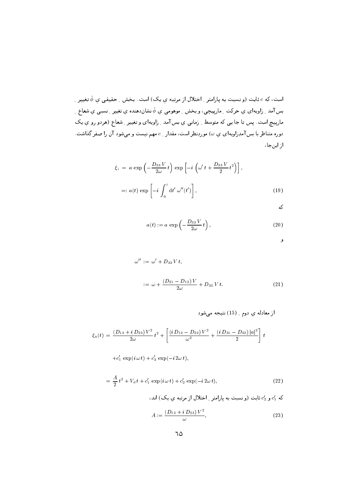است، که c ثابت (و نسبت به پارامتر <sub>-</sub> اختلال از مرتبه ی یک) است. بخش <sub>-</sub> حقیقی ی  $\phi$  تغییر -بسآمد <sub>-</sub> زاویهای ی حرکت <sub>-</sub> مارپیچی، و بخش <sub>-</sub> موهومی ی  $\dot{\phi}$  نشاندهنده ی تغییر <sub>-</sub> نسبی ی شعاع <sub>-</sub> مارپيىچ است. پس تا جا يىي كه متوسط ِ زمانىي ي بس آمد ِ زاويهاى و تغيير ِ شعاع (هردو رو ي يک دوره متناظر با بس آمدِزاویهای ی  $\omega$ ) موردِنظر است، مقدار ِ c مهم نیست و میشود آن را صفر گذاشت. از اینجا،

$$
\xi_{i} = a \exp\left(-\frac{D_{33}V}{2\omega}t\right) \exp\left[-i\left(\omega' t + \frac{D_{33}V}{2}t^{2}\right)\right],
$$
  

$$
=: a(t) \exp\left[-i\int_{0}^{t} dt' \omega''(t')\right],
$$
 (19)

که

$$
a(t) := a \, \exp\left(-\frac{D_{33} V}{2\omega} t\right),\tag{20}
$$

و

$$
\omega'' := \omega' + D_{33} Vt,
$$
  

$$
:= \omega + \frac{(D_{21} - D_{12}) V}{2\omega} + D_{33} Vt.
$$
 (21)

$$
\xi_{n}(t) = \frac{(D_{13} + i D_{23}) V^{2}}{2\omega} t^{2} + \left[ \frac{(i D_{13} - D_{23}) V^{2}}{\omega^{2}} + \frac{(i D_{31} - D_{32}) |a|^{2}}{2} \right] t^{2}
$$

$$
+c_1'\ \exp(i\,\omega\,t)+c_2'\ \exp(-i\,2\omega\,t),
$$

$$
= \frac{A}{2}t^2 + V_d t + c'_1 \exp(i\omega t) + c'_2 \exp(-i2\omega t), \qquad (22)
$$

که  $c_1$ ی و  $c_2$  ثابت (و نسبت به پارامتر ِ اختلال از مرتبه ی یک) اند،

$$
A := \frac{(D_{13} + i D_{23}) V^2}{\omega}, \tag{23}
$$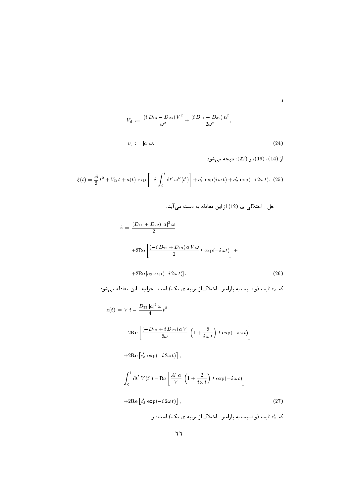$$
V_{\rm d} := \frac{\left(i\,D_{13} - D_{23}\right)V^2}{\omega^2} + \frac{\left(i\,D_{31} - D_{32}\right)v_{\rm t}^2}{2\omega^2},
$$
\n
$$
v_{\rm t} := |a|\,\omega.
$$
\n(24)

و

$$
\xi(t) = \frac{A}{2}t^2 + V_D t + a(t) \exp\left[-i \int_0^t dt' \,\omega''(t')\right] + c'_1 \exp(i \,\omega \, t) + c'_2 \exp(-i \,2\omega \, t). \tag{25}
$$

$$
\ddot{z} = \frac{(D_{11} + D_{22}) |a|^2 \omega}{2}
$$
  
+2Re  $\left[ \frac{(-i D_{23} + D_{13}) a V \omega}{2} t \exp(-i \omega t) \right] +$ 

$$
+2\mathrm{Re}\left[c_3\,\exp(-i\,2\omega\,t)\right],\tag{26}
$$

که  $c_3$  ثابت (و نسبت به پارامتر <sub>-</sub> اختلال از مرتبه یِ یک) است. جواب <sub>-</sub> این معادله میشود

$$
z(t) = Vt - \frac{D_{33}|a|^2 \omega}{4}t^2
$$
  
\n
$$
-2Re\left[\frac{(-D_{13} + i D_{23}) a V}{2\omega} \left(1 + \frac{2}{i\omega t}\right) t \exp(-i\omega t)\right]
$$
  
\n
$$
+ 2Re\left[c'_3 \exp(-i2\omega t)\right],
$$
  
\n
$$
= \int_0^t dt' V(t') - Re\left[\frac{A^* a}{V} \left(1 + \frac{2}{i\omega t}\right) t \exp(-i\omega t)\right]
$$
  
\n
$$
+ 2Re\left[c'_3 \exp(-i2\omega t)\right],
$$
\n(27)  
\n
$$
e'_3 \sin(2\omega t)
$$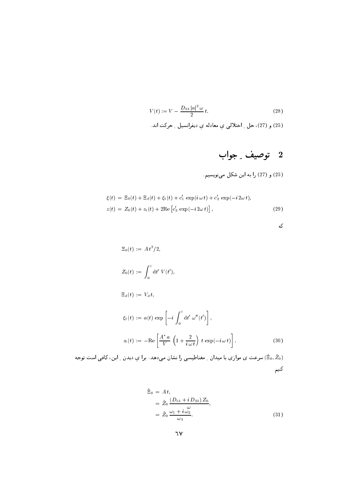$$
V(t) := V - \frac{D_{33} |a|^2 \omega}{2} t.
$$
 (28)

(25) و (27)، حل [ اختلالي ي معادله ي ديفرانسيل [ حركت اند.

## 2 توصيف ِ جواب

(25) و (27) را به این شکل میفویسیم.

$$
\xi(t) = \Xi_0(t) + \Xi_{\rm d}(t) + \xi_{\rm t}(t) + c'_1 \exp(i\omega t) + c'_2 \exp(-i2\omega t),
$$
  
\n
$$
z(t) = Z_0(t) + z_{\rm t}(t) + 2\mathrm{Re} [c'_3 \exp(-i2\omega t)],
$$
\n(29)

|        |  |    | ٧<br>۰. |
|--------|--|----|---------|
|        |  |    |         |
| $\sim$ |  | ۰. |         |

$$
\begin{aligned}\n\Xi_0(t) &:= A t^2 / 2, \\
Z_0(t) &:= \int_0^t \mathrm{d}t' \ V(t'), \\
\Xi_d(t) &:= V_d \ t, \\
\xi_t(t) &:= a(t) \ \exp\left[ -i \int_0^t \mathrm{d}t' \ \omega''(t') \right], \\
z_t(t) &:= -\mathrm{Re}\left[ \frac{A^* a}{V} \left( 1 + \frac{2}{i \omega t} \right) t \ \exp(-i \omega t) \right] \n\end{aligned} \tag{30}
$$

سرعت ی موازی با میدان <sub>-</sub> مغناطیسی را نشان میدهد. برا یِ دیدن <sub>-</sub> این، کافی است توجه (Ëo, Žo) كنيم

$$
\dot{\Xi}_0 = A t,
$$
\n
$$
= \dot{Z}_0 \frac{(D_{13} + i D_{23}) Z_0}{\omega},
$$
\n
$$
= \dot{Z}_0 \frac{\omega_1 + i \omega_2}{\omega_3}.
$$
\n(31)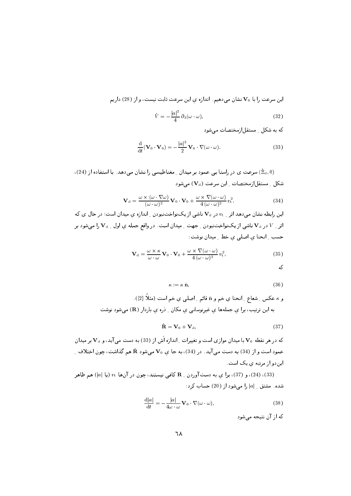$\mathbb{P}^1$ ی و در موجود و میلادی با موجود و در موجود و معروف در موجود و معروف و معروف و معروف و معروف و معروف و معروف و م

$$
\dot{V} = -\frac{|a|^2}{4} \partial_3(\omega \cdot \omega),\tag{32}
$$

 $\Box$  is the contract of  $\Box$  is the contract of  $\Box$ 

$$
\frac{\mathrm{d}}{\mathrm{d}t}(\mathbf{V}_0 \cdot \mathbf{V}_0) = -\frac{|a|^2}{2} \mathbf{V}_0 \cdot \nabla(\omega \cdot \omega).
$$
 (33)

. (20) میرسد ی در راسته یی خشود بر میدان <sub>ب</sub>ه معنی خیسی را نیسان می تشد. به استفاده از (20) 1
 => 0F 7 \&
[  [H1

$$
\mathbf{V}_{\mathrm{d}} = \frac{\omega \times (\omega \cdot \nabla \omega)}{(\omega \cdot \omega)^2} \mathbf{V}_0 \cdot \mathbf{V}_0 + \frac{\omega \times \nabla (\omega \cdot \omega)}{4 (\omega \cdot \omega)^2} v_{\mathrm{t}}^2.
$$
 (34)

4 #I r0 ,
 - ,+ - G+0K+) 1+ : - ^ ,
 8+ 4E 7 1
 - # - 4(3 S] /0 , - <sup>023</sup> - G+0K+) 1+ <sup>&</sup>gt; - ^ بہ سے اس کے اس کے اس کا اس کا ان کی ان کا ان کی ان کا ان کا ان کا ان کا ان کا ان کا ان کا ان کا ان کا ان کا ان

$$
\mathbf{V}_{\mathrm{d}} = \frac{\omega \times \kappa}{\omega \cdot \omega} \mathbf{V}_0 \cdot \mathbf{V}_0 + \frac{\omega \times \nabla(\omega \cdot \omega)}{4(\omega \cdot \omega)^2} v_{\mathrm{t}}^2, \tag{35}
$$

که

 $(36)$  $\kappa := \kappa \hat{\mathbf{n}}.$  $\mathcal{L} = \mathcal{L} \mathcal{L} = \mathcal{L} \mathcal{L}$ 

و "، عجليل رسما ج " المحلة في حتم و 11 قائم ر " صلتي في حتم است (ساد القار " م الياس الرئيس التي التي التي التي تي الرئيس التي التي المساحات عبد الرئيس التي التي التي التي التي التي التي ا

$$
\mathbf{R} = \mathbf{V}_0 + \mathbf{V}_d, \tag{37}
$$

ت در سر شیعه ۷۰ با میشان مواری است و تنبییزات ِ انتشاره اس از 607) به دست می ایند، و ۲۵ با بر میشان عمود است و از (+0) به دست می اید. در (+0)) به جا ي ۷۰ می سود 1c سم تداست، چون احتلاف -/0 ) - 4G
 7

ه (33)، (24)، و (37)، برا ي به دست اوردن \_ R كافي نيستند، چون در آنها  $v_t$  (يا  $|a|\ (a|$  هم ظاهر ) مار التاب التاب التاب التاب المستقبل التاب التاب التاب التاب التاب التاب التاب التاب التاب التاب الت

$$
\frac{\mathrm{d}|a|}{\mathrm{d}t} = -\frac{|a|}{4\omega \cdot \omega} \mathbf{V}_0 \cdot \nabla(\omega \cdot \omega),\tag{38}
$$

که از آن نتیجه می شود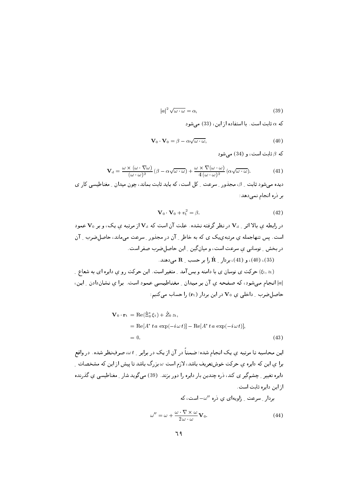$$
|a|^2 \sqrt{\omega \cdot \omega} = \alpha,\tag{39}
$$

که  $\alpha$  ثابت است. یا استفاده از این، (33) می شود

$$
\mathbf{V}_0 \cdot \mathbf{V}_0 = \beta - \alpha \sqrt{\omega \cdot \omega},\tag{40}
$$

که  $\beta$  ثابت است، و (34) می شود

$$
\mathbf{V}_{\mathrm{d}} = \frac{\omega \times (\omega \cdot \nabla \omega)}{(\omega \cdot \omega)^2} (\beta - \alpha \sqrt{\omega \cdot \omega}) + \frac{\omega \times \nabla (\omega \cdot \omega)}{4 (\omega \cdot \omega)^2} (\alpha \sqrt{\omega \cdot \omega}). \tag{41}
$$

دیده می شود ثابت <sub>به</sub> 8، مجذور به سرعت به کل است، که باید ثابت بماند، چون میدان به مغناطیسی کار ی بر ذره انجام نمي دهد:

$$
\mathbf{V}_0 \cdot \mathbf{V}_0 + v_t^2 = \beta. \tag{42}
$$

در رابطه ی بالا اثر <sub>م</sub> V<sub>d در</sub> نظر گرفته نشده. علت آن است که V<sub>d</sub> از مرتبه ی یک، و بر V<sub>0</sub> عمود است. پس تنهاجمله ی مرتبهی یک ی که به خاطر <sub>ب</sub> آن در مجذور ِ سرعت میماند، حاصل ضرب ِ آن در بخش ِ نوسانی ی سرعت است، و میان گین ِ این حاصلِ ضرب صفر است. ، (40) و (41)، بردار \_ R را بر حسب \_ R می دهند.

حرکت ی نوسان ی با دامنه و بس آمد ِ متغیر است. این حرکت رو ی دایره ای به شعاع ِ = </ |۵| انجام میشود، که صفحه ی آن بر میدان ـ مغناطیسی عمود است. برا ی نشاندادن ـ این، حاصل ضرب ِ داخلی ی  ${\bf V}_0$  در این بردار  $({\bf r}_{\rm t})$  را حساب می کنیم:

$$
\mathbf{V}_0 \cdot \mathbf{r}_t = \text{Re}(\dot{\Xi}_0^* \xi_t) + \dot{Z}_0 z_t,
$$
  
= Re[A^\* t a exp(-i\omega t)] - Re[A^\* t a exp(-i\omega t)],  
= 0. (43)

این محاسبه تا مرتبه ی یک انجام شده؛ ضمناً در آن از یک در برابر <sub>به</sub> به، صرفِنظر شده. در واقع برا ی این که دایره ی حرکت خوشتعریف باشد، لازم است  $\omega$  بزرگ باشد تا پیش از این که مشخصات ِ دایره تغییر ِ چشمگیر ی کند، دره چندین بار دایره را دور بزند. (39) میگوید شار ِ مغناطیسی ی گذرنده ا; این دایره ثابت است.

بردار ـ سرعت ـ زاويهاى ى ذره " ب است، كه

$$
\omega'' = \omega + \frac{\omega \cdot \nabla \times \omega}{2 \omega \cdot \omega} \mathbf{V}_0.
$$
 (44)